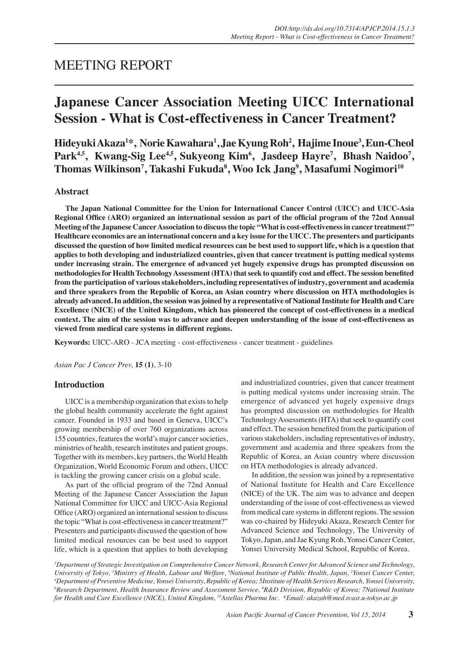# MEETING REPORT

# **Japanese Cancer Association Meeting UICC International Session - What is Cost-effectiveness in Cancer Treatment?**

**Hideyuki Akaza<sup>1</sup> \*, Norie Kawahara1 , Jae Kyung Roh<sup>2</sup> , Hajime Inoue3 , Eun-Cheol**  Park<sup>4,5</sup>, Kwang-Sig Lee<sup>4,5</sup>, Sukyeong Kim<sup>6</sup>, Jasdeep Hayre<sup>7</sup>, Bhash Naidoo<sup>7</sup>, **Thomas Wilkinson<sup>7</sup> , Takashi Fukuda8 , Woo Ick Jang9 , Masafumi Nogimori10**

# **Abstract**

**The Japan National Committee for the Union for International Cancer Control (UICC) and UICC-Asia Regional Office (ARO) organized an international session as part of the official program of the 72nd Annual Meeting of the Japanese Cancer Association to discuss the topic "What is cost-effectiveness in cancer treatment?" Healthcare economics are an international concern and a key issue for the UICC. The presenters and participants discussed the question of how limited medical resources can be best used to support life, which is a question that applies to both developing and industrialized countries, given that cancer treatment is putting medical systems under increasing strain. The emergence of advanced yet hugely expensive drugs has prompted discussion on methodologies for Health Technology Assessment (HTA) that seek to quantify cost and effect. The session benefited from the participation of various stakeholders, including representatives of industry, government and academia and three speakers from the Republic of Korea, an Asian country where discussion on HTA methodologies is already advanced. In addition, the session was joined by a representative of National Institute for Health and Care Excellence (NICE) of the United Kingdom, which has pioneered the concept of cost-effectiveness in a medical context. The aim of the session was to advance and deepen understanding of the issue of cost-effectiveness as viewed from medical care systems in different regions.**

**Keywords:** UICC-ARO - JCA meeting - cost-effectiveness - cancer treatment - guidelines

*Asian Pac J Cancer Prev,* **15 (1)**, 3-10

# **Introduction**

UICC is a membership organization that exists to help the global health community accelerate the fight against cancer. Founded in 1933 and based in Geneva, UICC's growing membership of over 760 organizations across 155 countries, features the world's major cancer societies, ministries of health, research institutes and patient groups. Together with its members, key partners, the World Health Organization, World Economic Forum and others, UICC is tackling the growing cancer crisis on a global scale.

As part of the official program of the 72nd Annual Meeting of the Japanese Cancer Association the Japan National Committee for UICC and UICC-Asia Regional Office (ARO) organized an international session to discuss the topic "What is cost-effectiveness in cancer treatment?" Presenters and participants discussed the question of how limited medical resources can be best used to support life, which is a question that applies to both developing and industrialized countries, given that cancer treatment is putting medical systems under increasing strain. The emergence of advanced yet hugely expensive drugs has prompted discussion on methodologies for Health Technology Assessments (HTA) that seek to quantify cost and effect. The session benefited from the participation of various stakeholders, including representatives of industry, government and academia and three speakers from the Republic of Korea, an Asian country where discussion on HTA methodologies is already advanced.

In addition, the session was joined by a representative of National Institute for Health and Care Excellence (NICE) of the UK. The aim was to advance and deepen understanding of the issue of cost-effectiveness as viewed from medical care systems in different regions. The session was co-chaired by Hideyuki Akaza, Research Center for Advanced Science and Technology, The University of Tokyo, Japan, and Jae Kyung Roh, Yonsei Cancer Center, Yonsei University Medical School, Republic of Korea.

*1 Department of Strategic Investigation on Comprehensive Cancer Network, Research Center for Advanced Science and Technology, University of Tokyo, 3 Ministry of Health, Labour and Welfare, 8 National Institute of Public Health, Japan, 2 Yonsei Cancer Center, 4 Department of Preventive Medicine, Yonsei University, Republic of Korea; 5Institute of Health Services Research, Yonsei University, 6 Research Department, Health Insurance Review and Assessment Service, 9 R&D Division, Republic of Korea; 7National Institute for Health and Care Excellence (NICE), United Kingdom, 10Astellas Pharma Inc. \*Email: akazah@med.rcast.u-tokyo.ac.jp*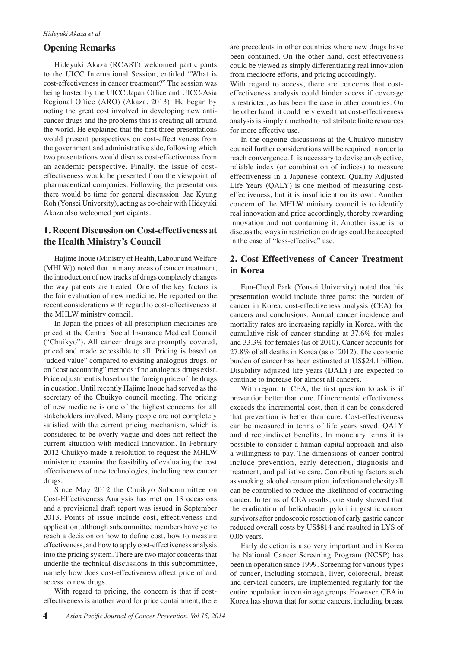# **Opening Remarks**

Hideyuki Akaza (RCAST) welcomed participants to the UICC International Session, entitled "What is cost-effectiveness in cancer treatment?" The session was being hosted by the UICC Japan Office and UICC-Asia Regional Office (ARO) (Akaza, 2013). He began by noting the great cost involved in developing new anticancer drugs and the problems this is creating all around the world. He explained that the first three presentations would present perspectives on cost-effectiveness from the government and administrative side, following which two presentations would discuss cost-effectiveness from an academic perspective. Finally, the issue of costeffectiveness would be presented from the viewpoint of pharmaceutical companies. Following the presentations there would be time for general discussion. Jae Kyung Roh (Yonsei University), acting as co-chair with Hideyuki Akaza also welcomed participants.

# **1. Recent Discussion on Cost-effectiveness at the Health Ministry's Council**

Hajime Inoue (Ministry of Health, Labour and Welfare (MHLW)) noted that in many areas of cancer treatment, the introduction of new tracks of drugs completely changes the way patients are treated. One of the key factors is the fair evaluation of new medicine. He reported on the recent considerations with regard to cost-effectiveness at the MHLW ministry council.

In Japan the prices of all prescription medicines are priced at the Central Social Insurance Medical Council ("Chuikyo"). All cancer drugs are promptly covered, priced and made accessible to all. Pricing is based on "added value" compared to existing analogous drugs, or on "cost accounting" methods if no analogous drugs exist. Price adjustment is based on the foreign price of the drugs in question. Until recently Hajime Inoue had served as the secretary of the Chuikyo council meeting. The pricing of new medicine is one of the highest concerns for all stakeholders involved. Many people are not completely satisfied with the current pricing mechanism, which is considered to be overly vague and does not reflect the current situation with medical innovation. In February 2012 Chuikyo made a resolution to request the MHLW minister to examine the feasibility of evaluating the cost effectiveness of new technologies, including new cancer drugs.

Since May 2012 the Chuikyo Subcommittee on Cost-Effectiveness Analysis has met on 13 occasions and a provisional draft report was issued in September 2013. Points of issue include cost, effectiveness and application, although subcommittee members have yet to reach a decision on how to define cost, how to measure effectiveness, and how to apply cost-effectiveness analysis into the pricing system. There are two major concerns that underlie the technical discussions in this subcommittee, namely how does cost-effectiveness affect price of and access to new drugs.

With regard to pricing, the concern is that if costeffectiveness is another word for price containment, there are precedents in other countries where new drugs have been contained. On the other hand, cost-effectiveness could be viewed as simply differentiating real innovation from mediocre efforts, and pricing accordingly.

With regard to access, there are concerns that costeffectiveness analysis could hinder access if coverage is restricted, as has been the case in other countries. On the other hand, it could be viewed that cost-effectiveness analysis is simply a method to redistribute finite resources for more effective use.

In the ongoing discussions at the Chuikyo ministry council further considerations will be required in order to reach convergence. It is necessary to devise an objective, reliable index (or combination of indices) to measure effectiveness in a Japanese context. Quality Adjusted Life Years (QALY) is one method of measuring costeffectiveness, but it is insufficient on its own. Another concern of the MHLW ministry council is to identify real innovation and price accordingly, thereby rewarding innovation and not containing it. Another issue is to discuss the ways in restriction on drugs could be accepted in the case of "less-effective" use.

# **2. Cost Effectiveness of Cancer Treatment in Korea**

Eun-Cheol Park (Yonsei University) noted that his presentation would include three parts: the burden of cancer in Korea, cost-effectiveness analysis (CEA) for cancers and conclusions. Annual cancer incidence and mortality rates are increasing rapidly in Korea, with the cumulative risk of cancer standing at 37.6% for males and 33.3% for females (as of 2010). Cancer accounts for 27.8% of all deaths in Korea (as of 2012). The economic burden of cancer has been estimated at US\$24.1 billion. Disability adjusted life years (DALY) are expected to continue to increase for almost all cancers.

With regard to CEA, the first question to ask is if prevention better than cure. If incremental effectiveness exceeds the incremental cost, then it can be considered that prevention is better than cure. Cost-effectiveness can be measured in terms of life years saved, QALY and direct/indirect benefits. In monetary terms it is possible to consider a human capital approach and also a willingness to pay. The dimensions of cancer control include prevention, early detection, diagnosis and treatment, and palliative care. Contributing factors such as smoking, alcohol consumption, infection and obesity all can be controlled to reduce the likelihood of contracting cancer. In terms of CEA results, one study showed that the eradication of helicobacter pylori in gastric cancer survivors after endoscopic resection of early gastric cancer reduced overall costs by US\$814 and resulted in LYS of 0.05 years.

Early detection is also very important and in Korea the National Cancer Screening Program (NCSP) has been in operation since 1999. Screening for various types of cancer, including stomach, liver, colorectal, breast and cervical cancers, are implemented regularly for the entire population in certain age groups. However, CEA in Korea has shown that for some cancers, including breast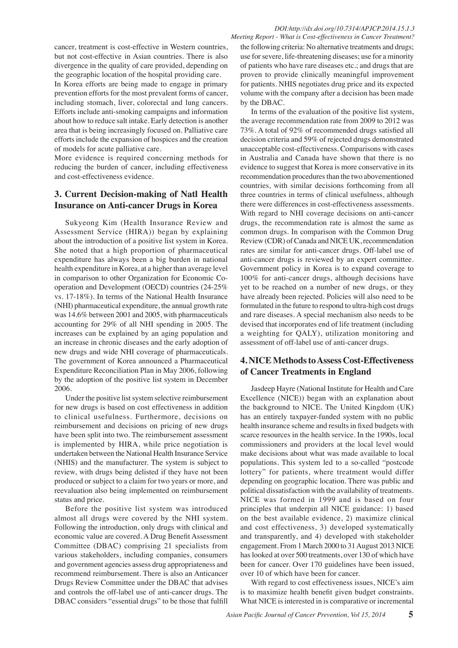cancer, treatment is cost-effective in Western countries, but not cost-effective in Asian countries. There is also divergence in the quality of care provided, depending on the geographic location of the hospital providing care.

In Korea efforts are being made to engage in primary prevention efforts for the most prevalent forms of cancer, including stomach, liver, colorectal and lung cancers. Efforts include anti-smoking campaigns and information about how to reduce salt intake. Early detection is another area that is being increasingly focused on. Palliative care efforts include the expansion of hospices and the creation of models for acute palliative care.

More evidence is required concerning methods for reducing the burden of cancer, including effectiveness and cost-effectiveness evidence.

# **3. Current Decision-making of Natl Health Insurance on Anti-cancer Drugs in Korea**

Sukyeong Kim (Health Insurance Review and Assessment Service (HIRA)) began by explaining about the introduction of a positive list system in Korea. She noted that a high proportion of pharmaceutical expenditure has always been a big burden in national health expenditure in Korea, at a higher than average level in comparison to other Organization for Economic Cooperation and Development (OECD) countries (24-25% vs. 17-18%). In terms of the National Health Insurance (NHI) pharmaceutical expenditure, the annual growth rate was 14.6% between 2001 and 2005, with pharmaceuticals accounting for 29% of all NHI spending in 2005. The increases can be explained by an aging population and an increase in chronic diseases and the early adoption of new drugs and wide NHI coverage of pharmaceuticals. The government of Korea announced a Pharmaceutical Expenditure Reconciliation Plan in May 2006, following by the adoption of the positive list system in December 2006.

Under the positive list system selective reimbursement for new drugs is based on cost effectiveness in addition to clinical usefulness. Furthermore, decisions on reimbursement and decisions on pricing of new drugs have been split into two. The reimbursement assessment is implemented by HIRA, while price negotiation is undertaken between the National Health Insurance Service (NHIS) and the manufacturer. The system is subject to review, with drugs being delisted if they have not been produced or subject to a claim for two years or more, and reevaluation also being implemented on reimbursement status and price.

Before the positive list system was introduced almost all drugs were covered by the NHI system. Following the introduction, only drugs with clinical and economic value are covered. A Drug Benefit Assessment Committee (DBAC) comprising 21 specialists from various stakeholders, including companies, consumers and government agencies assess drug appropriateness and recommend reimbursement. There is also an Anticancer Drugs Review Committee under the DBAC that advises and controls the off-label use of anti-cancer drugs. The DBAC considers "essential drugs" to be those that fulfill

*Meeting Report - What is Cost-effectiveness in Cancer Treatment?* the following criteria: No alternative treatments and drugs; use for severe, life-threatening diseases; use for a minority of patients who have rare diseases etc.; and drugs that are proven to provide clinically meaningful improvement for patients. NHIS negotiates drug price and its expected volume with the company after a decision has been made by the DBAC.

0 common drugs. In comparison with the Common Drug<sub>25.0</sub> there were differences in cost-effectiveness assessments. 50.0 evidence to suggest that Korea is more conservative in its 75.0 decision criteria and 59% of rejected drugs demonstrated 00.0 In terms of the evaluation of the positive list system, the average recommendation rate from 2009 to 2012 was 73%. A total of 92% of recommended drugs satisfied all unacceptable cost-effectiveness. Comparisons with cases in Australia and Canada have shown that there is no recommendation procedures than the two abovementioned countries, with similar decisions forthcoming from all three countries in terms of clinical usefulness, although With regard to NHI coverage decisions on anti-cancer drugs, the recommendation rate is almost the same as Review (CDR) of Canada and NICE UK, recommendation rates are similar for anti-cancer drugs. Off-label use of anti-cancer drugs is reviewed by an expert committee. Government policy in Korea is to expand coverage to 100% for anti-cancer drugs, although decisions have yet to be reached on a number of new drugs, or they have already been rejected. Policies will also need to be formulated in the future to respond to ultra-high cost drugs and rare diseases. A special mechanism also needs to be devised that incorporates end of life treatment (including a weighting for QALY), utilization monitoring and assessment of off-label use of anti-cancer drugs.

# **4. NICE Methods to Assess Cost-Effectiveness of Cancer Treatments in England**

Jasdeep Hayre (National Institute for Health and Care Excellence (NICE)) began with an explanation about the background to NICE. The United Kingdom (UK) has an entirely taxpayer-funded system with no public health insurance scheme and results in fixed budgets with scarce resources in the health service. In the 1990s, local commissioners and providers at the local level would make decisions about what was made available to local populations. This system led to a so-called "postcode lottery" for patients, where treatment would differ depending on geographic location. There was public and political dissatisfaction with the availability of treatments. NICE was formed in 1999 and is based on four principles that underpin all NICE guidance: 1) based on the best available evidence, 2) maximize clinical and cost effectiveness, 3) developed systematically and transparently, and 4) developed with stakeholder engagement. From 1 March 2000 to 31 August 2013 NICE has looked at over 500 treatments, over 130 of which have been for cancer. Over 170 guidelines have been issued, over 10 of which have been for cancer.

With regard to cost effectiveness issues, NICE's aim is to maximize health benefit given budget constraints. What NICE is interested in is comparative or incremental

# **20.3 6.3 10.1**

**46.8 56.3**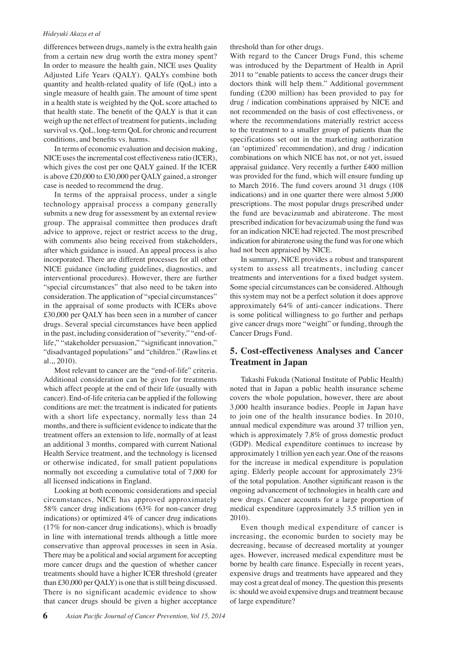#### *Hideyuki Akaza et al*

differences between drugs, namely is the extra health gain from a certain new drug worth the extra money spent? In order to measure the health gain, NICE uses Quality Adjusted Life Years (QALY). QALYs combine both quantity and health-related quality of life (QoL) into a single measure of health gain. The amount of time spent in a health state is weighted by the QoL score attached to that health state. The benefit of the QALY is that it can weigh up the net effect of treatment for patients, including survival vs. QoL, long-term QoL for chronic and recurrent conditions, and benefits vs. harms.

In terms of economic evaluation and decision making, NICE uses the incremental cost effectiveness ratio (ICER), which gives the cost per one QALY gained. If the ICER is above £20,000 to £30,000 per QALY gained, a stronger case is needed to recommend the drug.

In terms of the appraisal process, under a single technology appraisal process a company generally submits a new drug for assessment by an external review group. The appraisal committee then produces draft advice to approve, reject or restrict access to the drug, with comments also being received from stakeholders, after which guidance is issued. An appeal process is also incorporated. There are different processes for all other NICE guidance (including guidelines, diagnostics, and interventional procedures). However, there are further "special circumstances" that also need to be taken into consideration. The application of "special circumstances" in the appraisal of some products with ICERs above £30,000 per QALY has been seen in a number of cancer drugs. Several special circumstances have been applied in the past, including consideration of "severity," "end-oflife," "stakeholder persuasion," "significant innovation," "disadvantaged populations" and "children." (Rawlins et al.,, 2010).

Most relevant to cancer are the "end-of-life" criteria. Additional consideration can be given for treatments which affect people at the end of their life (usually with cancer). End-of-life criteria can be applied if the following conditions are met: the treatment is indicated for patients with a short life expectancy, normally less than 24 months, and there is sufficient evidence to indicate that the treatment offers an extension to life, normally of at least an additional 3 months, compared with current National Health Service treatment, and the technology is licensed or otherwise indicated, for small patient populations normally not exceeding a cumulative total of 7,000 for all licensed indications in England.

Looking at both economic considerations and special circumstances, NICE has approved approximately 58% cancer drug indications (63% for non-cancer drug indications) or optimized 4% of cancer drug indications (17% for non-cancer drug indications), which is broadly in line with international trends although a little more conservative than approval processes in seen in Asia. There may be a political and social argument for accepting more cancer drugs and the question of whether cancer treatments should have a higher ICER threshold (greater than £30,000 per QALY) is one that is still being discussed. There is no significant academic evidence to show that cancer drugs should be given a higher acceptance

threshold than for other drugs.

With regard to the Cancer Drugs Fund, this scheme was introduced by the Department of Health in April 2011 to "enable patients to access the cancer drugs their doctors think will help them." Additional government funding (£200 million) has been provided to pay for drug / indication combinations appraised by NICE and not recommended on the basis of cost effectiveness, or where the recommendations materially restrict access to the treatment to a smaller group of patients than the specifications set out in the marketing authorization (an 'optimized' recommendation), and drug / indication combinations on which NICE has not, or not yet, issued appraisal guidance. Very recently a further £400 million was provided for the fund, which will ensure funding up to March 2016. The fund covers around 31 drugs (108 indications) and in one quarter there were almost 5,000 prescriptions. The most popular drugs prescribed under the fund are bevacizumab and abiraterone. The most prescribed indication for bevacizumab using the fund was for an indication NICE had rejected. The most prescribed indication for abiraterone using the fund was for one which had not been appraised by NICE.

In summary, NICE provides a robust and transparent system to assess all treatments, including cancer treatments and interventions for a fixed budget system. Some special circumstances can be considered. Although this system may not be a perfect solution it does approve approximately 64% of anti-cancer indications. There is some political willingness to go further and perhaps give cancer drugs more "weight" or funding, through the Cancer Drugs Fund.

# **5. Cost-effectiveness Analyses and Cancer Treatment in Japan**

Takashi Fukuda (National Institute of Public Health) noted that in Japan a public health insurance scheme covers the whole population, however, there are about 3,000 health insurance bodies. People in Japan have to join one of the health insurance bodies. In 2010, annual medical expenditure was around 37 trillion yen, which is approximately 7.8% of gross domestic product (GDP). Medical expenditure continues to increase by approximately 1 trillion yen each year. One of the reasons for the increase in medical expenditure is population aging. Elderly people account for approximately 23% of the total population. Another significant reason is the ongoing advancement of technologies in health care and new drugs. Cancer accounts for a large proportion of medical expenditure (approximately 3.5 trillion yen in 2010).

Even though medical expenditure of cancer is increasing, the economic burden to society may be decreasing, because of decreased mortality at younger ages. However, increased medical expenditure must be borne by health care finance. Especially in recent years, expensive drugs and treatments have appeared and they may cost a great deal of money. The question this presents is: should we avoid expensive drugs and treatment because of large expenditure?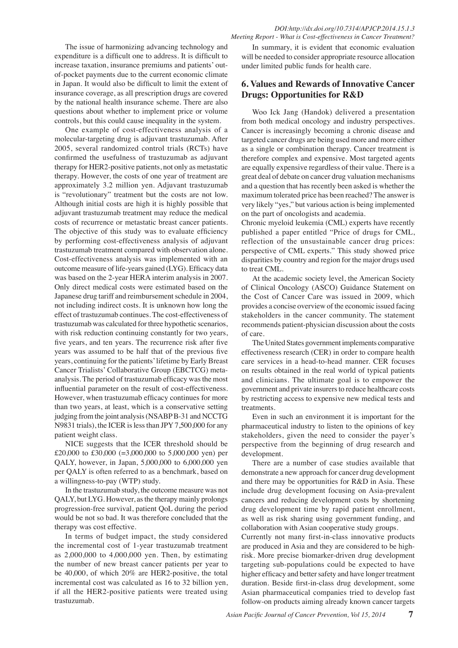controls, but this could cause inequality in the system. One example of cost-effectiveness analysis of a molecular-targeting drug is adjuvant trastuzumab. After 2005, several randomized control trials (RCTs) have confirmed the usefulness of trastuzumab as adjuvant therapy for HER2-positive patients, not only as metastatic therapy. However, the costs of one year of treatment are approximately 3.2 million yen. Adjuvant trastuzumab is "revolutionary" treatment but the costs are not low. Although initial costs are high it is highly possible that adjuvant trastuzumab treatment may reduce the medical costs of recurrence or metastatic breast cancer patients. The objective of this study was to evaluate efficiency by performing cost-effectiveness analysis of adjuvant trastuzumab treatment compared with observation alone. Cost-effectiveness analysis was implemented with an outcome measure of life-years gained (LYG). Efficacy data was based on the 2-year HERA interim analysis in 2007. Only direct medical costs were estimated based on the Japanese drug tariff and reimbursement schedule in 2004, not including indirect costs. It is unknown how long the effect of trastuzumab continues. The cost-effectiveness of trastuzumab was calculated for three hypothetic scenarios, with risk reduction continuing constantly for two years, five years, and ten years. The recurrence risk after five years was assumed to be half that of the previous five years, continuing for the patients' lifetime by Early Breast Cancer Trialists' Collaborative Group (EBCTCG) metaanalysis. The period of trastuzumab efficacy was the most influential parameter on the result of cost-effectiveness. However, when trastuzumab efficacy continues for more than two years, at least, which is a conservative setting judging from the joint analysis (NSABP B-31 and NCCTG N9831 trials), the ICER is less than JPY 7,500,000 for any patient weight class.

NICE suggests that the ICER threshold should be £20,000 to £30,000 (=3,000,000 to 5,000,000 yen) per QALY, however, in Japan, 5,000,000 to 6,000,000 yen per QALY is often referred to as a benchmark, based on a willingness-to-pay (WTP) study.

In the trastuzumab study, the outcome measure was not QALY, but LYG. However, as the therapy mainly prolongs progression-free survival, patient QoL during the period would be not so bad. It was therefore concluded that the therapy was cost effective.

In terms of budget impact, the study considered the incremental cost of 1-year trastuzumab treatment as 2,000,000 to 4,000,000 yen. Then, by estimating the number of new breast cancer patients per year to be 40,000, of which 20% are HER2-positive, the total incremental cost was calculated as 16 to 32 billion yen, if all the HER2-positive patients were treated using trastuzumab.

In summary, it is evident that economic evaluation will be needed to consider appropriate resource allocation under limited public funds for health care.

# **6. Values and Rewards of Innovative Cancer Drugs: Opportunities for R&D**

Woo Ick Jang (Handok) delivered a presentation from both medical oncology and industry perspectives. Cancer is increasingly becoming a chronic disease and targeted cancer drugs are being used more and more either as a single or combination therapy. Cancer treatment is therefore complex and expensive. Most targeted agents are equally expensive regardless of their value. There is a great deal of debate on cancer drug valuation mechanisms and a question that has recently been asked is whether the maximum tolerated price has been reached? The answer is very likely "yes," but various action is being implemented on the part of oncologists and academia.

Chronic myeloid leukemia (CML) experts have recently published a paper entitled "Price of drugs for CML, reflection of the unsustainable cancer drug prices: perspective of CML experts." This study showed price disparities by country and region for the major drugs used to treat CML.

At the academic society level, the American Society of Clinical Oncology (ASCO) Guidance Statement on the Cost of Cancer Care was issued in 2009, which provides a concise overview of the economic issued facing stakeholders in the cancer community. The statement recommends patient-physician discussion about the costs of care.

The United States government implements comparative effectiveness research (CER) in order to compare health care services in a head-to-head manner. CER focuses on results obtained in the real world of typical patients and clinicians. The ultimate goal is to empower the government and private insurers to reduce healthcare costs by restricting access to expensive new medical tests and treatments.

Even in such an environment it is important for the pharmaceutical industry to listen to the opinions of key stakeholders, given the need to consider the payer's perspective from the beginning of drug research and development.

There are a number of case studies available that demonstrate a new approach for cancer drug development and there may be opportunities for R&D in Asia. These include drug development focusing on Asia-prevalent cancers and reducing development costs by shortening drug development time by rapid patient enrollment, as well as risk sharing using government funding, and collaboration with Asian cooperative study groups.

Currently not many first-in-class innovative products are produced in Asia and they are considered to be highrisk. More precise biomarker-driven drug development targeting sub-populations could be expected to have higher efficacy and better safety and have longer treatment duration. Beside first-in-class drug development, some Asian pharmaceutical companies tried to develop fast follow-on products aiming already known cancer targets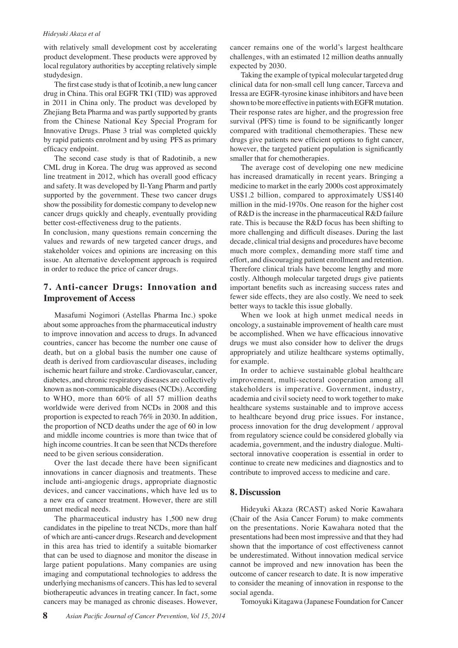#### *Hideyuki Akaza et al*

with relatively small development cost by accelerating product development. These products were approved by local regulatory authorities by accepting relatively simple studydesign.

The first case study is that of Icotinib, a new lung cancer drug in China. This oral EGFR TKI (TID) was approved in 2011 in China only. The product was developed by Zhejiang Beta Pharma and was partly supported by grants from the Chinese National Key Special Program for Innovative Drugs. Phase 3 trial was completed quickly by rapid patients enrolment and by using PFS as primary efficacy endpoint.

The second case study is that of Radotinib, a new CML drug in Korea. The drug was approved as second line treatment in 2012, which has overall good efficacy and safety. It was developed by Il-Yang Pharm and partly supported by the government. These two cancer drugs show the possibility for domestic company to develop new cancer drugs quickly and cheaply, eventually providing better cost-effectiveness drug to the patients.

In conclusion, many questions remain concerning the values and rewards of new targeted cancer drugs, and stakeholder voices and opinions are increasing on this issue. An alternative development approach is required in order to reduce the price of cancer drugs.

# **7. Anti-cancer Drugs: Innovation and Improvement of Access**

Masafumi Nogimori (Astellas Pharma Inc.) spoke about some approaches from the pharmaceutical industry to improve innovation and access to drugs. In advanced countries, cancer has become the number one cause of death, but on a global basis the number one cause of death is derived from cardiovascular diseases, including ischemic heart failure and stroke. Cardiovascular, cancer, diabetes, and chronic respiratory diseases are collectively known as non-communicable diseases (NCDs). According to WHO, more than 60% of all 57 million deaths worldwide were derived from NCDs in 2008 and this proportion is expected to reach 76% in 2030. In addition, the proportion of NCD deaths under the age of 60 in low and middle income countries is more than twice that of high income countries. It can be seen that NCDs therefore need to be given serious consideration.

Over the last decade there have been significant innovations in cancer diagnosis and treatments. These include anti-angiogenic drugs, appropriate diagnostic devices, and cancer vaccinations, which have led us to a new era of cancer treatment. However, there are still unmet medical needs.

The pharmaceutical industry has 1,500 new drug candidates in the pipeline to treat NCDs, more than half of which are anti-cancer drugs. Research and development in this area has tried to identify a suitable biomarker that can be used to diagnose and monitor the disease in large patient populations. Many companies are using imaging and computational technologies to address the underlying mechanisms of cancers. This has led to several biotherapeutic advances in treating cancer. In fact, some cancers may be managed as chronic diseases. However,

cancer remains one of the world's largest healthcare challenges, with an estimated 12 million deaths annually expected by 2030.

Taking the example of typical molecular targeted drug clinical data for non-small cell lung cancer, Tarceva and Iressa are EGFR-tyrosine kinase inhibitors and have been shown to be more effective in patients with EGFR mutation. Their response rates are higher, and the progression free survival (PFS) time is found to be significantly longer compared with traditional chemotherapies. These new drugs give patients new efficient options to fight cancer, however, the targeted patient population is significantly smaller that for chemotherapies.

The average cost of developing one new medicine has increased dramatically in recent years. Bringing a medicine to market in the early 2000s cost approximately US\$1.2 billion, compared to approximately US\$140 million in the mid-1970s. One reason for the higher cost of R&D is the increase in the pharmaceutical R&D failure rate. This is because the R&D focus has been shifting to more challenging and difficult diseases. During the last decade, clinical trial designs and procedures have become much more complex, demanding more staff time and effort, and discouraging patient enrollment and retention. Therefore clinical trials have become lengthy and more costly. Although molecular targeted drugs give patients important benefits such as increasing success rates and fewer side effects, they are also costly. We need to seek better ways to tackle this issue globally.

When we look at high unmet medical needs in oncology, a sustainable improvement of health care must be accomplished. When we have efficacious innovative drugs we must also consider how to deliver the drugs appropriately and utilize healthcare systems optimally, for example.

In order to achieve sustainable global healthcare improvement, multi-sectoral cooperation among all stakeholders is imperative. Government, industry, academia and civil society need to work together to make healthcare systems sustainable and to improve access to healthcare beyond drug price issues. For instance, process innovation for the drug development / approval from regulatory science could be considered globally via academia, government, and the industry dialogue. Multisectoral innovative cooperation is essential in order to continue to create new medicines and diagnostics and to contribute to improved access to medicine and care.

#### **8. Discussion**

Hideyuki Akaza (RCAST) asked Norie Kawahara (Chair of the Asia Cancer Forum) to make comments on the presentations. Norie Kawahara noted that the presentations had been most impressive and that they had shown that the importance of cost effectiveness cannot be underestimated. Without innovation medical service cannot be improved and new innovation has been the outcome of cancer research to date. It is now imperative to consider the meaning of innovation in response to the social agenda.

Tomoyuki Kitagawa (Japanese Foundation for Cancer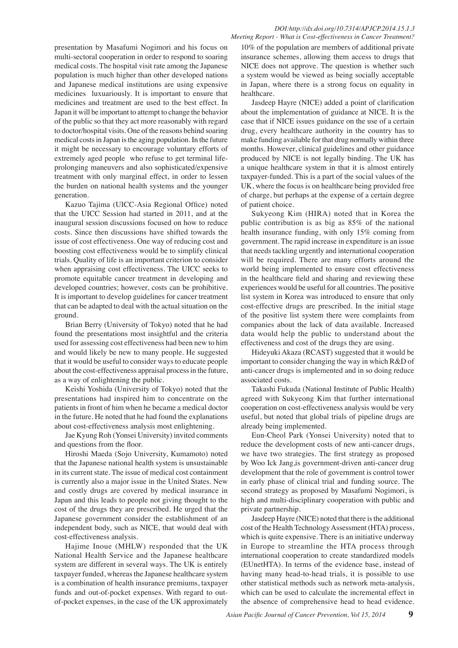#### *DOI:http://dx.doi.org/10.7314/APJCP.2014.15.1.3 Meeting Report - What is Cost-effectiveness in Cancer Treatment?*

presentation by Masafumi Nogimori and his focus on multi-sectoral cooperation in order to respond to soaring medical costs. The hospital visit rate among the Japanese population is much higher than other developed nations and Japanese medical institutions are using expensive medicines luxuariously. It is important to ensure that medicines and treatment are used to the best effect. In Japan it will be important to attempt to change the behavior of the public so that they act more reasonably with regard to doctor/hospital visits. One of the reasons behind soaring medical costs in Japan is the aging population. In the future it might be necessary to encourage voluntary efforts of extremely aged people who refuse to get terminal lifeprolonging maneuvers and also sophisticated/expensive treatment with only marginal effect, in order to lessen the burden on national health systems and the younger generation.

Kazuo Tajima (UICC-Asia Regional Office) noted that the UICC Session had started in 2011, and at the inaugural session discussions focused on how to reduce costs. Since then discussions have shifted towards the issue of cost effectiveness. One way of reducing cost and boosting cost effectiveness would be to simplify clinical trials. Quality of life is an important criterion to consider when appraising cost effectiveness. The UICC seeks to promote equitable cancer treatment in developing and developed countries; however, costs can be prohibitive. It is important to develop guidelines for cancer treatment that can be adapted to deal with the actual situation on the ground.

Brian Berry (University of Tokyo) noted that he had found the presentations most insightful and the criteria used for assessing cost effectiveness had been new to him and would likely be new to many people. He suggested that it would be useful to consider ways to educate people about the cost-effectiveness appraisal process in the future, as a way of enlightening the public.

Keishi Yoshida (University of Tokyo) noted that the presentations had inspired him to concentrate on the patients in front of him when he became a medical doctor in the future. He noted that he had found the explanations about cost-effectiveness analysis most enlightening.

Jae Kyung Roh (Yonsei University) invited comments and questions from the floor.

Hiroshi Maeda (Sojo University, Kumamoto) noted that the Japanese national health system is unsustainable in its current state. The issue of medical cost containment is currently also a major issue in the United States. New and costly drugs are covered by medical insurance in Japan and this leads to people not giving thought to the cost of the drugs they are prescribed. He urged that the Japanese government consider the establishment of an independent body, such as NICE, that would deal with cost-effectiveness analysis.

Hajime Inoue (MHLW) responded that the UK National Health Service and the Japanese healthcare system are different in several ways. The UK is entirely taxpayer funded, whereas the Japanese healthcare system is a combination of health insurance premiums, taxpayer funds and out-of-pocket expenses. With regard to outof-pocket expenses, in the case of the UK approximately

10% of the population are members of additional private insurance schemes, allowing them access to drugs that NICE does not approve. The question is whether such a system would be viewed as being socially acceptable in Japan, where there is a strong focus on equality in healthcare.

Jasdeep Hayre (NICE) added a point of clarification about the implementation of guidance at NICE. It is the case that if NICE issues guidance on the use of a certain drug, every healthcare authority in the country has to make funding available for that drug normally within three months. However, clinical guidelines and other guidance produced by NICE is not legally binding. The UK has a unique healthcare system in that it is almost entirely taxpayer-funded. This is a part of the social values of the UK, where the focus is on healthcare being provided free of charge, but perhaps at the expense of a certain degree of patient choice.

Sukyeong Kim (HIRA) noted that in Korea the public contribution is as big as 85% of the national health insurance funding, with only 15% coming from government. The rapid increase in expenditure is an issue that needs tackling urgently and international cooperation will be required. There are many efforts around the world being implemented to ensure cost effectiveness in the healthcare field and sharing and reviewing these experiences would be useful for all countries. The positive list system in Korea was introduced to ensure that only cost-effective drugs are prescribed. In the initial stage of the positive list system there were complaints from companies about the lack of data available. Increased data would help the public to understand about the effectiveness and cost of the drugs they are using.

Hideyuki Akaza (RCAST) suggested that it would be important to consider changing the way in which R&D of anti-cancer drugs is implemented and in so doing reduce associated costs.

Takashi Fukuda (National Institute of Public Health) agreed with Sukyeong Kim that further international cooperation on cost-effectiveness analysis would be very useful, but noted that global trials of pipeline drugs are already being implemented.

Eun-Cheol Park (Yonsei University) noted that to reduce the development costs of new anti-cancer drugs, we have two strategies. The first strategy as proposed by Woo Ick Jang,is government-driven anti-cancer drug development that the role of government is control tower in early phase of clinical trial and funding source. The second strategy as proposed by Masafumi Nogimori, is high and multi-disciplinary cooperation with public and private partnership.

Jasdeep Hayre (NICE) noted that there is the additional cost of the Health Technology Assessment (HTA) process, which is quite expensive. There is an initiative underway in Europe to streamline the HTA process through international cooperation to create standardized models (EUnetHTA). In terms of the evidence base, instead of having many head-to-head trials, it is possible to use other statistical methods such as network meta-analysis, which can be used to calculate the incremental effect in the absence of comprehensive head to head evidence.